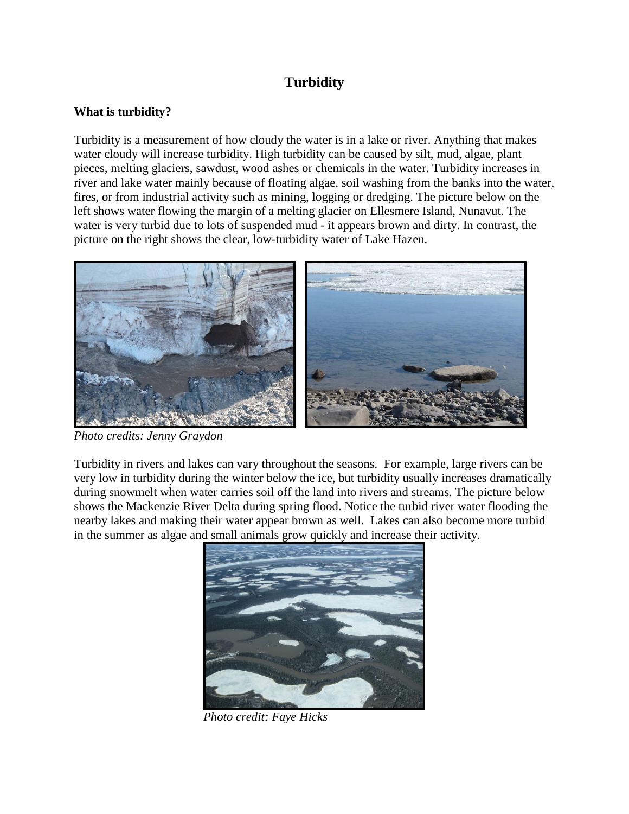# **Turbidity**

## **What is turbidity?**

Turbidity is a measurement of how cloudy the water is in a lake or river. Anything that makes water cloudy will increase turbidity. High turbidity can be caused by silt, mud, algae, plant pieces, melting glaciers, sawdust, wood ashes or chemicals in the water. Turbidity increases in river and lake water mainly because of floating algae, soil washing from the banks into the water, fires, or from industrial activity such as mining, logging or dredging. The picture below on the left shows water flowing the margin of a melting glacier on Ellesmere Island, Nunavut. The water is very turbid due to lots of suspended mud - it appears brown and dirty. In contrast, the picture on the right shows the clear, low-turbidity water of Lake Hazen.



*Photo credits: Jenny Graydon*

Turbidity in rivers and lakes can vary throughout the seasons. For example, large rivers can be very low in turbidity during the winter below the ice, but turbidity usually increases dramatically during snowmelt when water carries soil off the land into rivers and streams. The picture below shows the Mackenzie River Delta during spring flood. Notice the turbid river water flooding the nearby lakes and making their water appear brown as well. Lakes can also become more turbid in the summer as algae and small animals grow quickly and increase their activity.



 *Photo credit: Faye Hicks*